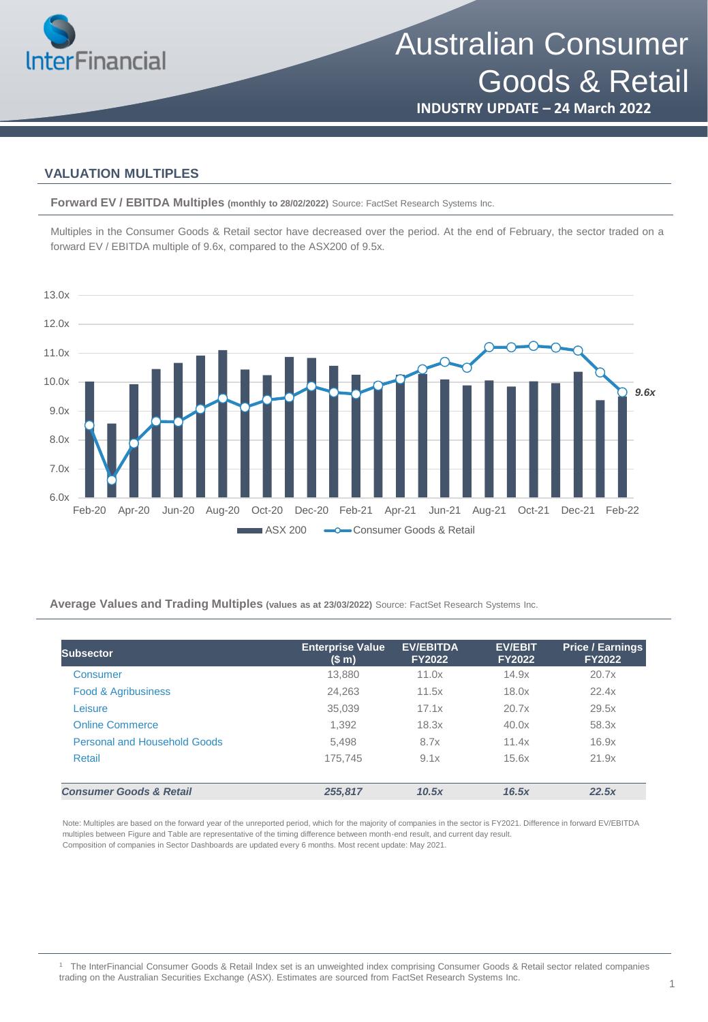

Australian Consumer Goods & Retail

**INDUSTRY UPDATE – 24 March 2022**

### **VALUATION MULTIPLES**

**Forward EV / EBITDA Multiples (monthly to 28/02/2022)** Source: FactSet Research Systems Inc.

Multiples in the Consumer Goods & Retail sector have decreased over the period. At the end of February, the sector traded on a forward EV / EBITDA multiple of 9.6x, compared to the ASX200 of 9.5x.



**Average Values and Trading Multiples (values as at 23/03/2022)** Source: FactSet Research Systems Inc.

| <b>Subsector</b>                    | <b>Enterprise Value</b><br>(\$m) | <b>EV/EBITDA</b><br><b>FY2022</b> | <b>EV/EBIT</b><br><b>FY2022</b> | <b>Price / Earnings</b><br><b>FY2022</b> |
|-------------------------------------|----------------------------------|-----------------------------------|---------------------------------|------------------------------------------|
| Consumer                            | 13,880                           | 11.0x                             | 14.9x                           | 20.7x                                    |
| Food & Agribusiness                 | 24,263                           | 11.5x                             | 18.0x                           | 22.4x                                    |
| Leisure                             | 35,039                           | 17.1x                             | 20.7x                           | 29.5x                                    |
| <b>Online Commerce</b>              | 1,392                            | 18.3x                             | 40.0x                           | 58.3x                                    |
| <b>Personal and Household Goods</b> | 5,498                            | 8.7x                              | 11.4x                           | 16.9x                                    |
| Retail                              | 175.745                          | 9.1x                              | 15.6x                           | 21.9x                                    |
| <b>Consumer Goods &amp; Retail</b>  | 255.817                          | 10.5x                             | 16.5x                           | 22.5x                                    |

Note: Multiples are based on the forward year of the unreported period, which for the majority of companies in the sector is FY2021. Difference in forward EV/EBITDA multiples between Figure and Table are representative of the timing difference between month-end result, and current day result. Composition of companies in Sector Dashboards are updated every 6 months. Most recent update: May 2021.

<sup>1</sup> The InterFinancial Consumer Goods & Retail Index set is an unweighted index comprising Consumer Goods & Retail sector related companies trading on the Australian Securities Exchange (ASX). Estimates are sourced from FactSet Research Systems Inc.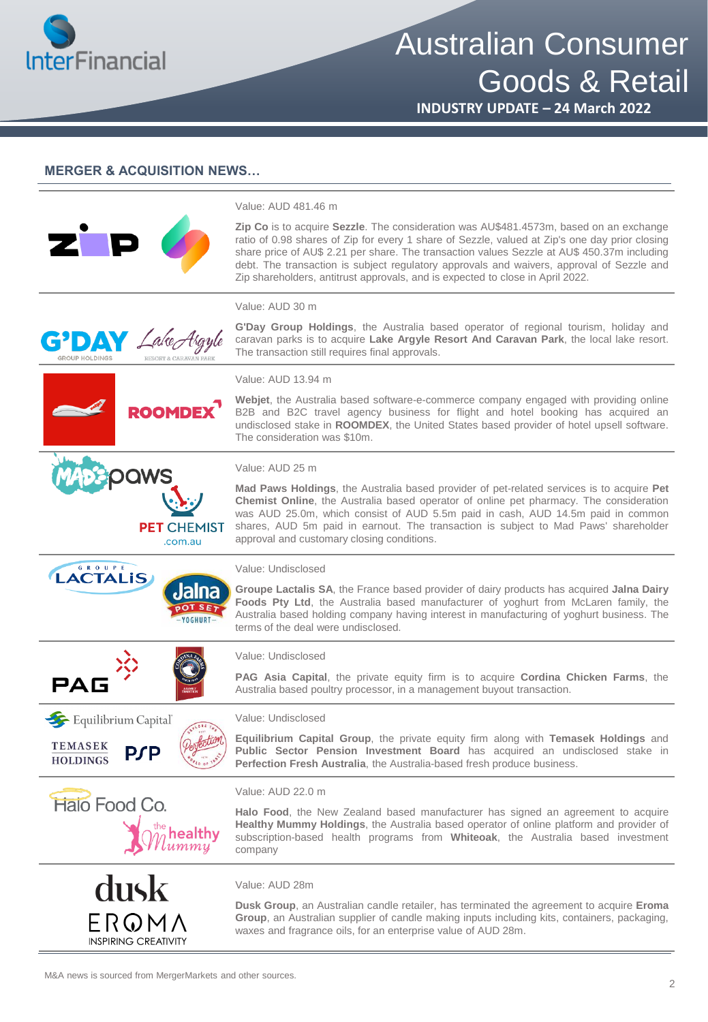

# Australian Consumer Goods & Retail

**INDUSTRY UPDATE – 24 March 2022**

### **MERGER & ACQUISITION NEWS…**

|                                                                      | Value: AUD 481.46 m                                                                                                                                                                                                                                                                                                                                                                                                                                                    |
|----------------------------------------------------------------------|------------------------------------------------------------------------------------------------------------------------------------------------------------------------------------------------------------------------------------------------------------------------------------------------------------------------------------------------------------------------------------------------------------------------------------------------------------------------|
|                                                                      | Zip Co is to acquire Sezzle. The consideration was AU\$481.4573m, based on an exchange<br>ratio of 0.98 shares of Zip for every 1 share of Sezzle, valued at Zip's one day prior closing<br>share price of AU\$ 2.21 per share. The transaction values Sezzle at AU\$ 450.37m including<br>debt. The transaction is subject regulatory approvals and waivers, approval of Sezzle and<br>Zip shareholders, antitrust approvals, and is expected to close in April 2022. |
|                                                                      | Value: AUD 30 m                                                                                                                                                                                                                                                                                                                                                                                                                                                        |
| <b>G</b> DAY Lake Argyle                                             | G'Day Group Holdings, the Australia based operator of regional tourism, holiday and<br>caravan parks is to acquire Lake Argyle Resort And Caravan Park, the local lake resort.<br>The transaction still requires final approvals.                                                                                                                                                                                                                                      |
|                                                                      | Value: AUD 13.94 m                                                                                                                                                                                                                                                                                                                                                                                                                                                     |
| <b>ROOMDEX</b>                                                       | Webjet, the Australia based software-e-commerce company engaged with providing online<br>B2B and B2C travel agency business for flight and hotel booking has acquired an<br>undisclosed stake in ROOMDEX, the United States based provider of hotel upsell software.<br>The consideration was \$10m.                                                                                                                                                                   |
|                                                                      | Value: AUD 25 m                                                                                                                                                                                                                                                                                                                                                                                                                                                        |
| <b>PET</b> CHEMIST<br>.com.au                                        | Mad Paws Holdings, the Australia based provider of pet-related services is to acquire Pet<br>Chemist Online, the Australia based operator of online pet pharmacy. The consideration<br>was AUD 25.0m, which consist of AUD 5.5m paid in cash, AUD 14.5m paid in common<br>shares, AUD 5m paid in earnout. The transaction is subject to Mad Paws' shareholder<br>approval and customary closing conditions.                                                            |
| G R O U P E<br><b>LACTALIS</b>                                       | Value: Undisclosed                                                                                                                                                                                                                                                                                                                                                                                                                                                     |
| Jalna                                                                | Groupe Lactalis SA, the France based provider of dairy products has acquired Jalna Dairy<br>Foods Pty Ltd, the Australia based manufacturer of yoghurt from McLaren family, the<br>Australia based holding company having interest in manufacturing of yoghurt business. The<br>terms of the deal were undisclosed.                                                                                                                                                    |
|                                                                      | Value: Undisclosed                                                                                                                                                                                                                                                                                                                                                                                                                                                     |
| <b>PAG</b>                                                           | PAG Asia Capital, the private equity firm is to acquire Cordina Chicken Farms, the<br>Australia based poultry processor, in a management buyout transaction.                                                                                                                                                                                                                                                                                                           |
| Equilibrium Capital                                                  | Value: Undisclosed                                                                                                                                                                                                                                                                                                                                                                                                                                                     |
| <b>TEMASEK</b><br><b>PSP</b><br><b>HOLDINGS</b>                      | Equilibrium Capital Group, the private equity firm along with Temasek Holdings and<br>Public Sector Pension Investment Board has acquired an undisclosed stake in<br>Perfection Fresh Australia, the Australia-based fresh produce business.                                                                                                                                                                                                                           |
|                                                                      | Value: AUD 22.0 m                                                                                                                                                                                                                                                                                                                                                                                                                                                      |
| <b>Halo Food Co.</b><br>$\hat{\mathcal{W}}^\text{\tiny the}$ healthy | Halo Food, the New Zealand based manufacturer has signed an agreement to acquire<br>Healthy Mummy Holdings, the Australia based operator of online platform and provider of<br>subscription-based health programs from Whiteoak, the Australia based investment<br>company                                                                                                                                                                                             |
|                                                                      | Value: AUD 28m                                                                                                                                                                                                                                                                                                                                                                                                                                                         |
| dusk                                                                 | <b>Dusk Group</b> , an Australian candle retailer, has terminated the agreement to acquire <b>Eroma</b>                                                                                                                                                                                                                                                                                                                                                                |
| ERQMA<br><b>INSPIRING CREATIVITY</b>                                 | Group, an Australian supplier of candle making inputs including kits, containers, packaging,<br>waxes and fragrance oils, for an enterprise value of AUD 28m.                                                                                                                                                                                                                                                                                                          |
|                                                                      |                                                                                                                                                                                                                                                                                                                                                                                                                                                                        |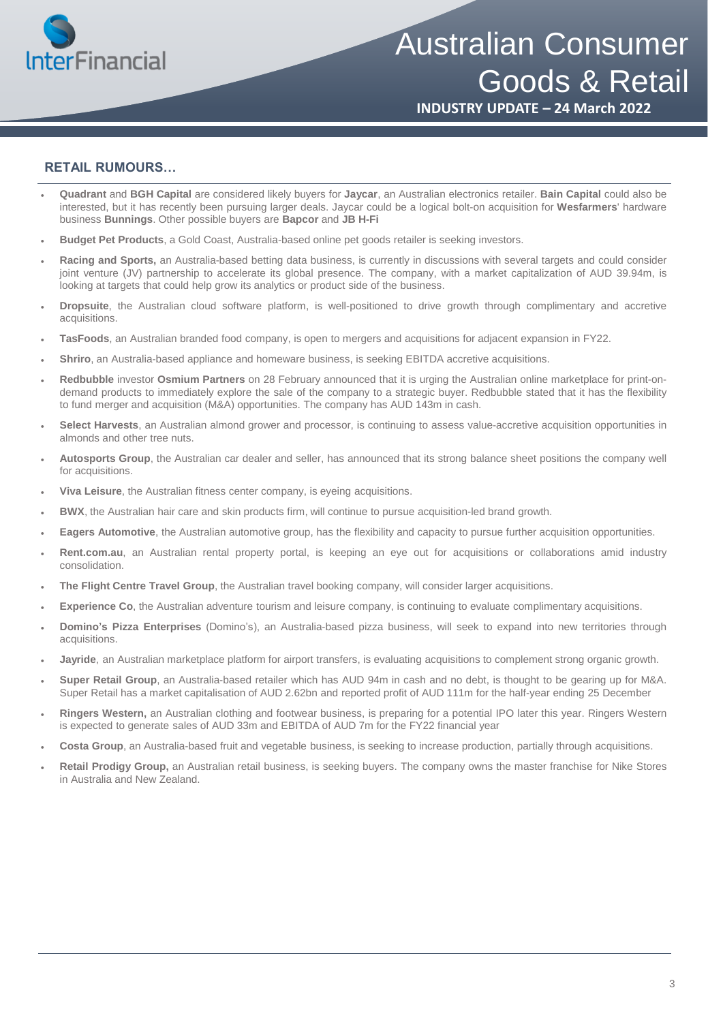

## Australian Consumer Goods & Retail

**INDUSTRY UPDATE – 24 March 2022**

### **RETAIL RUMOURS…**

- **Quadrant** and **BGH Capital** are considered likely buyers for **Jaycar**, an Australian electronics retailer. **Bain Capital** could also be interested, but it has recently been pursuing larger deals. Jaycar could be a logical bolt-on acquisition for **Wesfarmers**' hardware business **Bunnings**. Other possible buyers are **Bapcor** and **JB H-Fi**
- **Budget Pet Products**, a Gold Coast, Australia-based online pet goods retailer is seeking investors.
- **Racing and Sports,** an Australia-based betting data business, is currently in discussions with several targets and could consider joint venture (JV) partnership to accelerate its global presence. The company, with a market capitalization of AUD 39.94m, is looking at targets that could help grow its analytics or product side of the business.
- **Dropsuite**, the Australian cloud software platform, is well-positioned to drive growth through complimentary and accretive acquisitions.
- **TasFoods**, an Australian branded food company, is open to mergers and acquisitions for adjacent expansion in FY22.
- **Shriro**, an Australia-based appliance and homeware business, is seeking EBITDA accretive acquisitions.
- **Redbubble** investor **Osmium Partners** on 28 February announced that it is urging the Australian online marketplace for print-ondemand products to immediately explore the sale of the company to a strategic buyer. Redbubble stated that it has the flexibility to fund merger and acquisition (M&A) opportunities. The company has AUD 143m in cash.
- **Select Harvests**, an Australian almond grower and processor, is continuing to assess value-accretive acquisition opportunities in almonds and other tree nuts.
- **Autosports Group**, the Australian car dealer and seller, has announced that its strong balance sheet positions the company well for acquisitions.
- **Viva Leisure**, the Australian fitness center company, is eyeing acquisitions.
- **BWX**, the Australian hair care and skin products firm, will continue to pursue acquisition-led brand growth.
- **Eagers Automotive**, the Australian automotive group, has the flexibility and capacity to pursue further acquisition opportunities.
- **Rent.com.au**, an Australian rental property portal, is keeping an eye out for acquisitions or collaborations amid industry consolidation.
- **The Flight Centre Travel Group**, the Australian travel booking company, will consider larger acquisitions.
- **Experience Co**, the Australian adventure tourism and leisure company, is continuing to evaluate complimentary acquisitions.
- **Domino's Pizza Enterprises** (Domino's), an Australia-based pizza business, will seek to expand into new territories through acquisitions.
- **Jayride**, an Australian marketplace platform for airport transfers, is evaluating acquisitions to complement strong organic growth.
- **Super Retail Group**, an Australia-based retailer which has AUD 94m in cash and no debt, is thought to be gearing up for M&A. Super Retail has a market capitalisation of AUD 2.62bn and reported profit of AUD 111m for the half-year ending 25 December
- **Ringers Western,** an Australian clothing and footwear business, is preparing for a potential IPO later this year. Ringers Western is expected to generate sales of AUD 33m and EBITDA of AUD 7m for the FY22 financial year
- **Costa Group**, an Australia-based fruit and vegetable business, is seeking to increase production, partially through acquisitions.
- **Retail Prodigy Group,** an Australian retail business, is seeking buyers. The company owns the master franchise for Nike Stores in Australia and New Zealand.